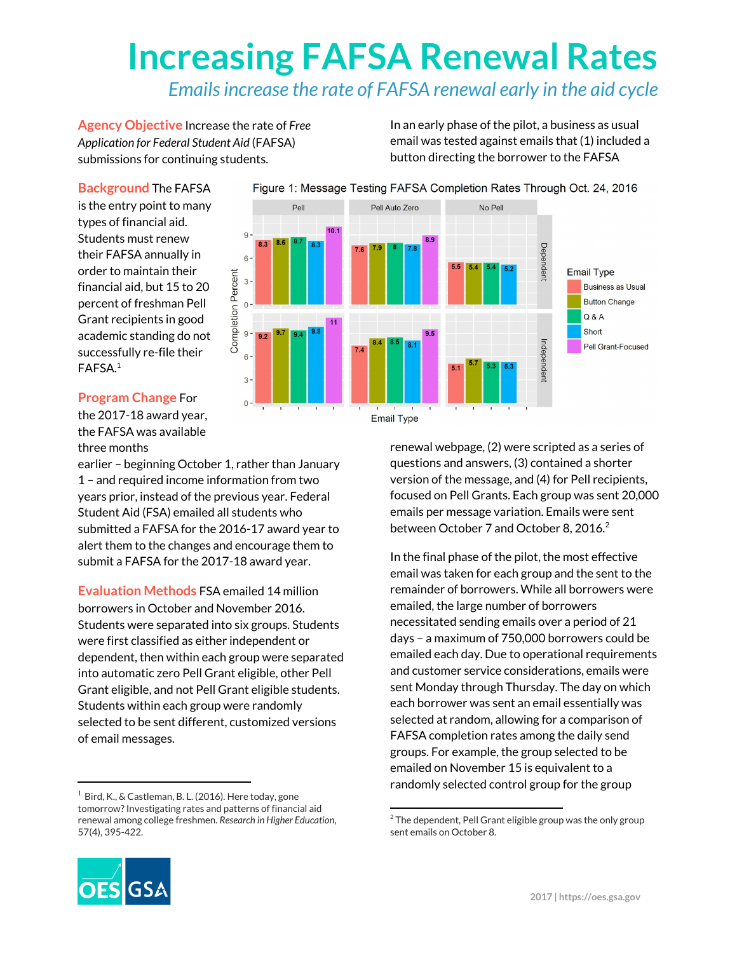# **Increasing FAFSA Renewal Rates**

### *Emailsincrease the rate of FAFSA renewal early in the aid cycle*

**Agency Objective** Increase the rate of *Free Application for Federal Student Aid* (FAFSA) submissions for continuing students.

In an early phase of the pilot, a business as usual email was tested against emails that (1) included a button directing the borrower to the FAFSA

#### **Background** The FAFSA

is the entry point to many types of financial aid. Students must renew their FAFSA annually in order to maintain their financial aid, but 15 to 20 percent of freshman Pell Grant recipients in good academic standing do not successfully re-file their FAFSA. 1

#### **Program Change** For

the 2017-18 award year, the FAFSA was available three months

earlier – beginning October 1, rather than January 1 – and required income information from two years prior, instead of the previous year. Federal Student Aid (FSA) emailed all students who submitted a FAFSA for the 2016-17 award year to alert them to the changes and encourage them to submit a FAFSA for the 2017-18 award year.

**Evaluation Methods** FSA emailed 14 million borrowers in October and November 2016. Students were separated into six groups. Students were first classified as either independent or dependent, then within each group were separated into automatic zero Pell Grant eligible, other Pell Grant eligible, and not Pell Grant eligible students. Students within each group were randomly selected to be sent different, customized versions of email messages.

 $1$  Bird, K., & Castleman, B. L. (2016). Here today, gone tomorrow?Investigating rates and patterns of financial aid renewal among college freshmen. *Research in Higher Education*, 57(4), 395-422.



**Email Type** 

renewal webpage, (2) were scripted as a series of questions and answers, (3) contained a shorter version of the message, and (4) for Pell recipients, focused on Pell Grants. Each group was sent 20,000 emails per message variation. Emails were sent between October 7 and October 8, 2016.<sup>2</sup>

In the final phase of the pilot, the most effective email was taken for each group and the sent to the remainder of borrowers. While all borrowers were emailed, the large number of borrowers necessitated sending emails over a period of 21 days – a maximum of 750,000 borrowers could be emailed each day. Due to operational requirements and customer service considerations, emails were sent Monday through Thursday. The day on which each borrower was sent an email essentially was selected at random, allowing for a comparison of FAFSA completion rates among the daily send groups. For example, the group selected to be emailed on November 15 is equivalent to a randomly selected control group for the group



 $2$  The dependent, Pell Grant eligible group was the only group sent emails on October 8.